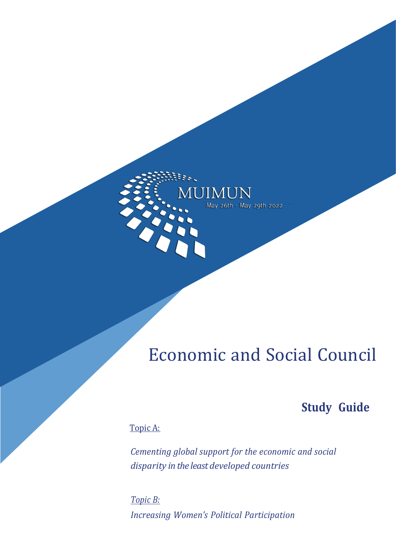<span id="page-0-10"></span><span id="page-0-8"></span><span id="page-0-5"></span><span id="page-0-1"></span>

<span id="page-0-12"></span><span id="page-0-6"></span><span id="page-0-4"></span><span id="page-0-3"></span><span id="page-0-0"></span>tes.

# <span id="page-0-9"></span><span id="page-0-7"></span><span id="page-0-2"></span>Economic and Social Council

## **Study Guide**

## <span id="page-0-11"></span>Topic A:

*Cementing global support for the economic and social disparity in the least developed countries*

*Topic B: Increasing ǯ Political Participation*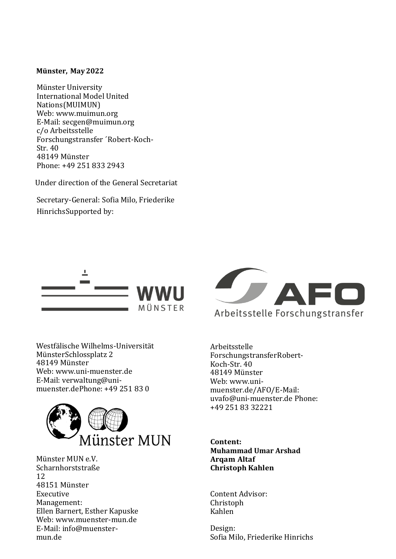#### **Münster, May2022**

Münster University International Model United Nations(MUIMUN) Web: [www.muimun.org](http://www.muimun.org/) E-Mail: [secgen@muimun.org](mailto:secgen@muimun.org) c/o Arbeitsstelle Forschungstransfer ´Robert-Koch-Str. 40 48149 Münster Phone: +49 251 833 2943

Under direction of the General Secretariat

Secretary-General: Sofia Milo, Friederike HinrichsSupported by:



Westfälische Wilhelms-Universität MünsterSchlossplatz 2 48149 Münster Web: [www.uni-muenster.de](http://www.uni-muenster.de/) E-Mail: [verwaltung@uni](mailto:verwaltung@uni-muenster.de)[muenster.deP](mailto:verwaltung@uni-muenster.de)hone: +49 251 83 0



Münster MUN e.V. Scharnhorststraße 12 48151 Münster Executive Management: Ellen Barnert, Esther Kapuske Web: [www.muenster-mun.de](http://www.muenster-mun.de/) E-Mail: [info@muenster](mailto:info@muenster-mun.de)[mun.de](mailto:info@muenster-mun.de)



Arbeitsstelle ForschungstransferRobert-Koch-Str. 40 48149 Münster Web: [www.uni](http://www.uni-muenster.de/AFO/)[muenster.de/AFO/E](http://www.uni-muenster.de/AFO/)-Mail: [uvafo@uni-muenster.de](mailto:uvafo@uni-muenster.de) Phone: +49 251 83 32221

**Content: Muhammad Umar Arshad Arqam Altaf Christoph Kahlen**

Content Advisor: Christoph Kahlen

Design: Sofia Milo, Friederike Hinrichs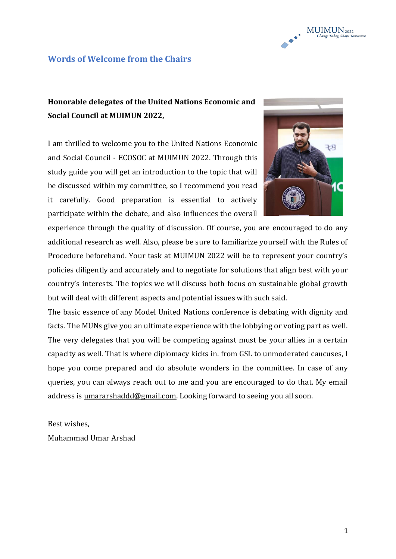

#### **Words of Welcome from the Chairs**

## **Honorable delegates of the United Nations Economic and Social Council at MUIMUN 2022,**

I am thrilled to welcome you to the United Nations Economic and Social Council - ECOSOC at MUIMUN 2022. Through this study guide you will get an introduction to the topic that will be discussed within my committee, so I recommend you read it carefully. Good preparation is essential to actively participate within the debate, and also influences the overall



experience through the quality of discussion. Of course, you are encouraged to do any additional research as well. Also, please be sure to familiarize yourself with the Rules of Procedure beforehand. Your task at MUIMUN 2022 will be to represent your country's policies diligently and accurately and to negotiate for solutions that align best with your country's interests. The topics we will discuss both focus on sustainable global growth but will deal with different aspects and potential issues with such said.

The basic essence of any Model United Nations conference is debating with dignity and facts. The MUNs give you an ultimate experience with the lobbying or voting part as well. The very delegates that you will be competing against must be your allies in a certain capacity as well. That is where diplomacy kicks in. from GSL to unmoderated caucuses, I hope you come prepared and do absolute wonders in the committee. In case of any queries, you can always reach out to me and you are encouraged to do that. My email address is [umararshaddd@gmail.com.](mailto:umararshaddd@gmail.com) Looking forward to seeing you all soon.

Best wishes,

Muhammad Umar Arshad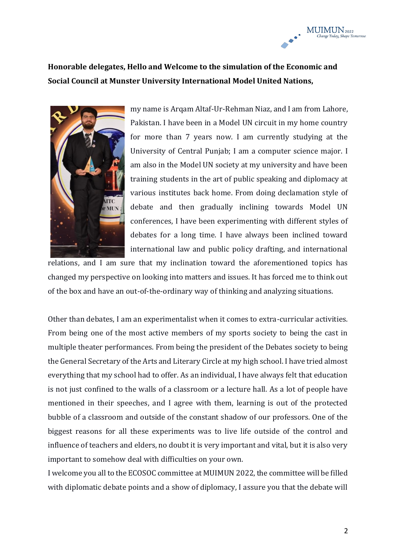## **Honorable delegates, Hello and Welcome to the simulation of the Economic and Social Council at Munster University International Model United Nations,**



my name is Arqam Altaf-Ur-Rehman Niaz, and I am from Lahore, Pakistan. I have been in a Model UN circuit in my home country for more than 7 years now. I am currently studying at the University of Central Punjab; I am a computer science major. I am also in the Model UN society at my university and have been training students in the art of public speaking and diplomacy at various institutes back home. From doing declamation style of debate and then gradually inclining towards Model UN conferences, I have been experimenting with different styles of debates for a long time. I have always been inclined toward international law and public policy drafting, and international

relations, and I am sure that my inclination toward the aforementioned topics has changed my perspective on looking into matters and issues. It has forced me to think out of the box and have an out-of-the-ordinary way of thinking and analyzing situations.

Other than debates, I am an experimentalist when it comes to extra-curricular activities. From being one of the most active members of my sports society to being the cast in multiple theater performances. From being the president of the Debates society to being the General Secretary of the Arts and Literary Circle at my high school. I have tried almost everything that my school had to offer. As an individual, I have always felt that education is not just confined to the walls of a classroom or a lecture hall. As a lot of people have mentioned in their speeches, and I agree with them, learning is out of the protected bubble of a classroom and outside of the constant shadow of our professors. One of the biggest reasons for all these experiments was to live life outside of the control and influence of teachers and elders, no doubt it is very important and vital, but it is also very important to somehow deal with difficulties on your own.

I welcome you all to the ECOSOC committee at MUIMUN 2022, the committee will be filled with diplomatic debate points and a show of diplomacy, I assure you that the debate will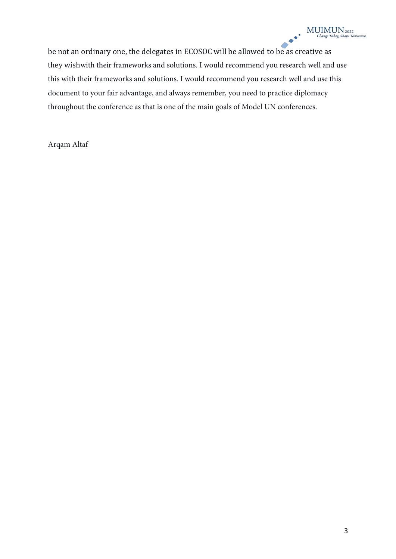$\bullet$ be not an ordinary one, the delegates in ECOSOC will be allowed to be as creative as they wishwith their frameworks and solutions. I would recommend you research well and use this with their frameworks and solutions. I would recommend you research well and use this document to your fair advantage, and always remember, you need to practice diplomacy throughout the conference as that is one of the main goals of Model UN conferences.

Arqam Altaf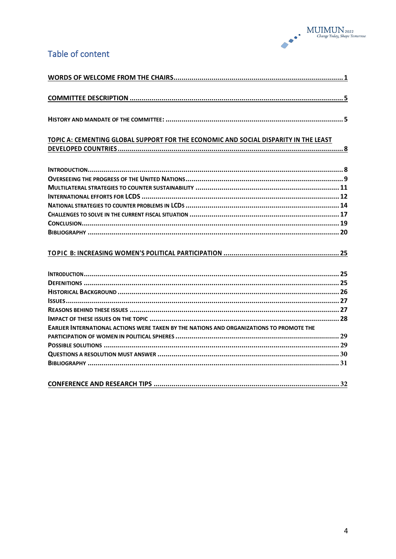

#### Table of content

## TOPIC A: CEMENTING GLOBAL SUPPORT FOR THE ECONOMIC AND SOCIAL DISPARITY IN THE LEAST

#### 

| EARLIER INTERNATIONAL ACTIONS WERE TAKEN BY THE NATIONS AND ORGANIZATIONS TO PROMOTE THE |  |
|------------------------------------------------------------------------------------------|--|
|                                                                                          |  |
|                                                                                          |  |
|                                                                                          |  |
|                                                                                          |  |
|                                                                                          |  |

|--|--|--|--|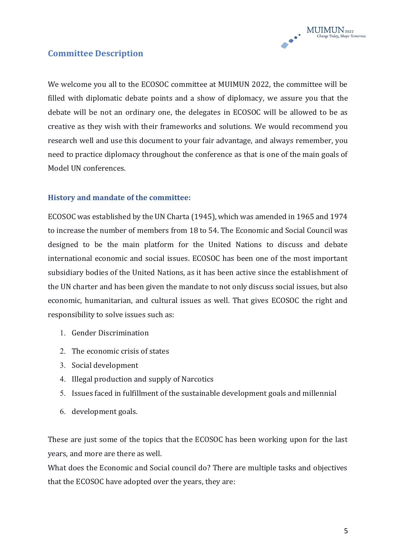

#### **Committee Description**

We welcome you all to the ECOSOC committee at MUIMUN 2022, the committee will be filled with diplomatic debate points and a show of diplomacy, we assure you that the debate will be not an ordinary one, the delegates in ECOSOC will be allowed to be as creative as they wish with their frameworks and solutions. We would recommend you research well and use this document to your fair advantage, and always remember, you need to practice diplomacy throughout the conference as that is one of the main goals of Model UN conferences.

#### **History and mandate of the committee:**

ECOSOC was established by the UN Charta (1945), which was amended in 1965 and 1974 to increase the number of members from 18 to 54. The Economic and Social Council was designed to be the main platform for the United Nations to discuss and debate international economic and social issues. ECOSOC has been one of the most important subsidiary bodies of the United Nations, as it has been active since the establishment of the UN charter and has been given the mandate to not only discuss social issues, but also economic, humanitarian, and cultural issues as well. That gives ECOSOC the right and responsibility to solve issues such as:

- 1. Gender Discrimination
- 2. The economic crisis of states
- 3. Social development
- 4. Illegal production and supply of Narcotics
- 5. Issues faced in fulfillment of the sustainable development goals and millennial
- 6. development goals.

These are just some of the topics that the ECOSOC has been working upon for the last years, and more are there as well.

What does the Economic and Social council do? There are multiple tasks and objectives that the ECOSOC have adopted over the years, they are: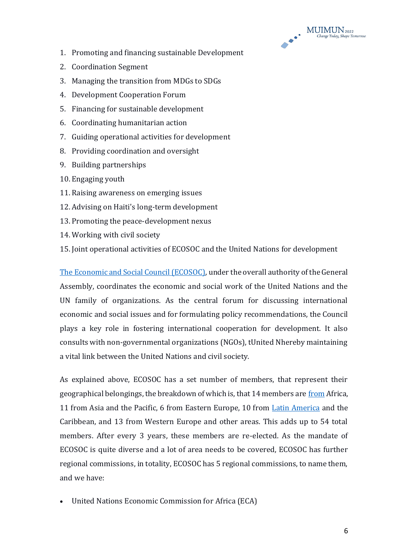

- 1. Promoting and financing sustainable Development
- 2. Coordination Segment
- 3. Managing the transition from MDGs to SDGs
- 4. Development Cooperation Forum
- 5. Financing for sustainable development
- 6. Coordinating humanitarian action
- 7. Guiding operational activities for development
- 8. Providing coordination and oversight
- 9. Building partnerships
- 10. Engaging youth
- 11. Raising awareness on emerging issues
- 12. Advising on Haiti's long-term development
- 13. Promoting the peace-development nexus
- 14. Working with civil society
- 15. Joint operational activities of ECOSOC and the United Nations for development

[The Economic and Social Council \(ECOSOC\),](http://www.un.org/en/ecosoc/) under the overall authority of the General Assembly, coordinates the economic and social work of the United Nations and the UN family of organizations. As the central forum for discussing international economic and social issues and for formulating policy recommendations, the Council plays a key role in fostering international cooperation for development. It also consults with non-governmental organizations (NGOs), tUnited Nhereby maintaining a vital link between the United Nations and civil society.

As explained above, ECOSOC has a set number of members, that represent their geographical belongings, the breakdown of which is, that 14 members ar[e from](https://www.merriam-webster.com/dictionary/allocated) Africa, 11 from Asia and the Pacific, 6 from Eastern Europe, 10 from [Latin America](https://www.britannica.com/place/Latin-America) and the Caribbean, and 13 from Western Europe and other areas. This adds up to 54 total members. After every 3 years, these members are re-elected. As the mandate of ECOSOC is quite diverse and a lot of area needs to be covered, ECOSOC has further regional commissions, in totality, ECOSOC has 5 regional commissions, to name them, and we have:

• United Nations Economic Commission for Africa (ECA)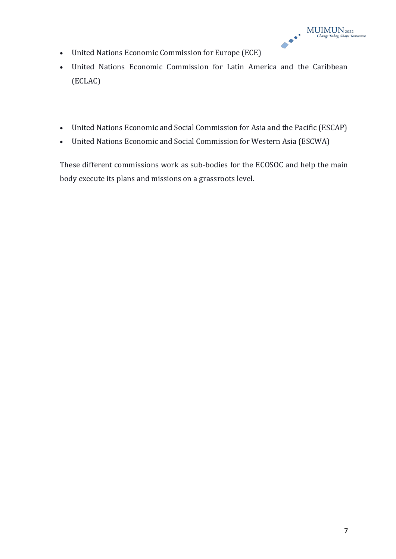

- United Nations Economic Commission for Europe (ECE)
- United Nations Economic Commission for Latin America and the Caribbean (ECLAC)
- United Nations Economic and Social Commission for Asia and the Pacific (ESCAP)
- United Nations Economic and Social Commission for Western Asia (ESCWA)

These different commissions work as sub-bodies for the ECOSOC and help the main body execute its plans and missions on a grassroots level.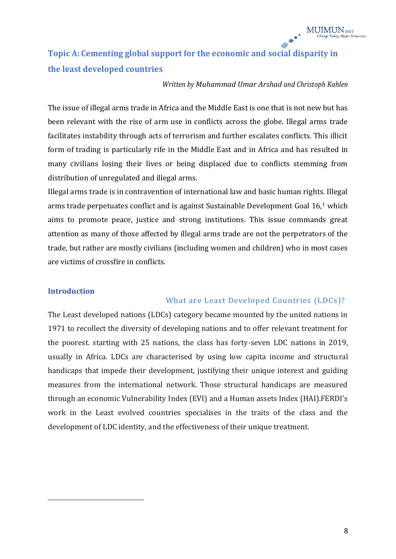## **Topic A: Cementing global support for the economic and social disparity in the least developed countries**

#### *Written by Muhammad Umar Arshad and Christoph Kahlen*

The issue of illegal arms trade in Africa and the Middle East is one that is not new but has been relevant with the rise of arm use in conflicts across the globe. Illegal arms trade facilitates instability through acts of terrorism and further escalates conflicts. This illicit form of trading is particularly rife in the Middle East and in Africa and has resulted in many civilians losing their lives or being displaced due to conflicts stemming from distribution of unregulated and illegal arms.

Illegal arms trade is in contravention of international law and basic human rights. Illegal arms trade perpetuates conflict and is against Sustainable Development Goal 16,1 which aims to promote peace, justice and strong institutions. This issue commands great attention as many of those affected by illegal arms trade are not the perpetrators of the trade, but rather are mostly civilians (including women and children) who in most cases are victims of crossfire in conflicts.

#### **Introduction**

#### What are Least Developed Countries (LDCs)?

The Least developed nations (LDCs) category became mounted by the united nations in 1971 to recollect the diversity of developing nations and to offer relevant treatment for the poorest. starting with 25 nations, the class has forty-seven LDC nations in 2019, usually in Africa. LDCs are characterised by using low capita income and structural handicaps that impede their development, justifying their unique interest and guiding measures from the international network. Those structural handicaps are measured through an economic Vulnerability Index (EVI) and a Human assets Index (HAI).FERDI's work in the Least evolved countries specialises in the traits of the class and the development of LDC identity, and the effectiveness of their unique treatment.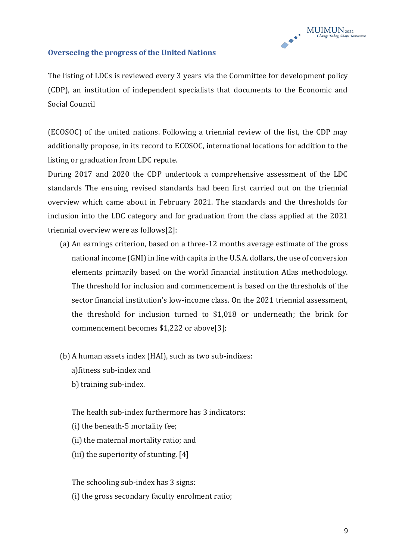

#### **Overseeing the progress of the United Nations**

The listing of LDCs is reviewed every 3 years via the Committee for development policy (CDP), an institution of independent specialists that documents to the Economic and Social Council

(ECOSOC) of the united nations. Following a triennial review of the list, the CDP may additionally propose, in its record to ECOSOC, international locations for addition to the listing or graduation from LDC repute.

During 2017 and 2020 the CDP undertook a comprehensive assessment of the LDC standards The ensuing revised standards had been first carried out on the triennial overview which came about in February 2021. The standards and the thresholds for inclusion into the LDC category and for graduation from the class applied at the 2021 triennial overview were as follows[2]:

- (a) An earnings criterion, based on a three-12 months average estimate of the gross national income (GNI) in line with capita in the U.S.A. dollars, the use of conversion elements primarily based on the world financial institution Atlas methodology. The threshold for inclusion and commencement is based on the thresholds of the sector financial institution's low-income class. On the 2021 triennial assessment, the threshold for inclusion turned to \$1,018 or underneath; the brink for commencement becomes \$1,222 or above[3];
- (b) A human assets index (HAI), such as two sub-indixes:
	- a)fitness sub-index and
	- b) training sub-index.

The health sub-index furthermore has 3 indicators:

- (i) the beneath-5 mortality fee;
- (ii) the maternal mortality ratio; and
- (iii) the superiority of stunting. [4]

The schooling sub-index has 3 signs: (i) the gross secondary faculty enrolment ratio;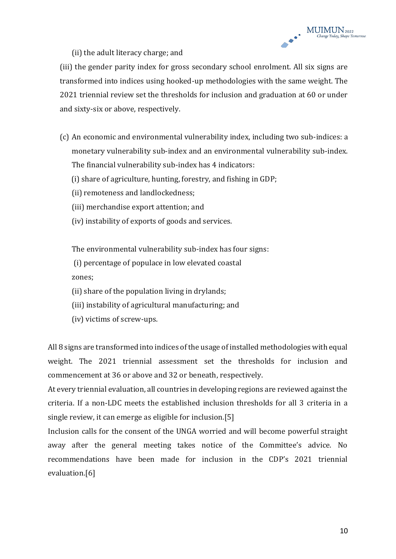(ii) the adult literacy charge; and

(iii) the gender parity index for gross secondary school enrolment. All six signs are transformed into indices using hooked-up methodologies with the same weight. The 2021 triennial review set the thresholds for inclusion and graduation at 60 or under and sixty-six or above, respectively.

- (c) An economic and environmental vulnerability index, including two sub-indices: a monetary vulnerability sub-index and an environmental vulnerability sub-index. The financial vulnerability sub-index has 4 indicators:
	- (i) share of agriculture, hunting, forestry, and fishing in GDP;
	- (ii) remoteness and landlockedness;
	- (iii) merchandise export attention; and
	- (iv) instability of exports of goods and services.

The environmental vulnerability sub-index has four signs:

(i) percentage of populace in low elevated coastal zones;

- (ii) share of the population living in drylands;
- (iii) instability of agricultural manufacturing; and
- (iv) victims of screw-ups.

All 8 signs are transformed into indices of the usage of installed methodologies with equal weight. The 2021 triennial assessment set the thresholds for inclusion and commencement at 36 or above and 32 or beneath, respectively.

At every triennial evaluation, all countries in developing regions are reviewed against the criteria. If a non-LDC meets the established inclusion thresholds for all 3 criteria in a single review, it can emerge as eligible for inclusion.[5]

Inclusion calls for the consent of the UNGA worried and will become powerful straight away after the general meeting takes notice of the Committee's advice. No recommendations have been made for inclusion in the CDP's 2021 triennial evaluation.[6]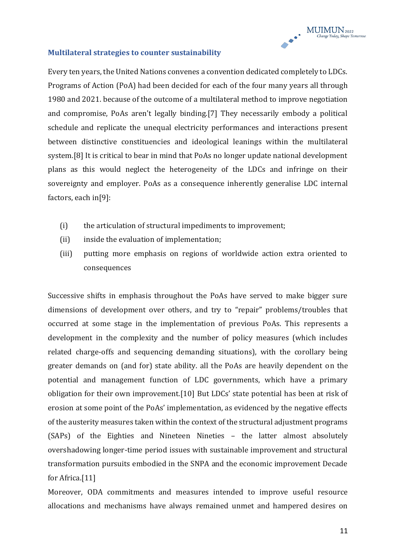#### **Multilateral strategies to counter sustainability**

Every ten years, the United Nations convenes a convention dedicated completely to LDCs. Programs of Action (PoA) had been decided for each of the four many years all through 1980 and 2021. because of the outcome of a multilateral method to improve negotiation and compromise, PoAs aren't legally binding.[7] They necessarily embody a political schedule and replicate the unequal electricity performances and interactions present between distinctive constituencies and ideological leanings within the multilateral system.[8] It is critical to bear in mind that PoAs no longer update national development plans as this would neglect the heterogeneity of the LDCs and infringe on their sovereignty and employer. PoAs as a consequence inherently generalise LDC internal factors, each in[9]:

- (i) the articulation of structural impediments to improvement;
- (ii) inside the evaluation of implementation;
- (iii) putting more emphasis on regions of worldwide action extra oriented to consequences

Successive shifts in emphasis throughout the PoAs have served to make bigger sure dimensions of development over others, and try to "repair" problems/troubles that occurred at some stage in the implementation of previous PoAs. This represents a development in the complexity and the number of policy measures (which includes related charge-offs and sequencing demanding situations), with the corollary being greater demands on (and for) state ability. all the PoAs are heavily dependent on the potential and management function of LDC governments, which have a primary obligation for their own improvement.[10] But LDCs' state potential has been at risk of erosion at some point of the PoAs' implementation, as evidenced by the negative effects of the austerity measures taken within the context of the structural adjustment programs (SAPs) of the Eighties and Nineteen Nineties – the latter almost absolutely overshadowing longer-time period issues with sustainable improvement and structural transformation pursuits embodied in the SNPA and the economic improvement Decade for Africa.<sup>[11]</sup>

Moreover, ODA commitments and measures intended to improve useful resource allocations and mechanisms have always remained unmet and hampered desires on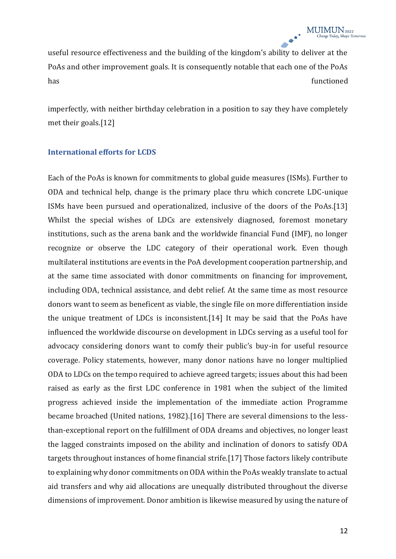useful resource effectiveness and the building of the kingdom's ability to deliver at the PoAs and other improvement goals. It is consequently notable that each one of the PoAs has functioned

imperfectly, with neither birthday celebration in a position to say they have completely met their goals.[12]

#### **International efforts for LCDS**

Each of the PoAs is known for commitments to global guide measures (ISMs). Further to ODA and technical help, change is the primary place thru which concrete LDC-unique ISMs have been pursued and operationalized, inclusive of the doors of the PoAs.[13] Whilst the special wishes of LDCs are extensively diagnosed, foremost monetary institutions, such as the arena bank and the worldwide financial Fund (IMF), no longer recognize or observe the LDC category of their operational work. Even though multilateral institutions are events in the PoA development cooperation partnership, and at the same time associated with donor commitments on financing for improvement, including ODA, technical assistance, and debt relief. At the same time as most resource donors want to seem as beneficent as viable, the single file on more differentiation inside the unique treatment of LDCs is inconsistent.[14] It may be said that the PoAs have influenced the worldwide discourse on development in LDCs serving as a useful tool for advocacy considering donors want to comfy their public's buy-in for useful resource coverage. Policy statements, however, many donor nations have no longer multiplied ODA to LDCs on the tempo required to achieve agreed targets; issues about this had been raised as early as the first LDC conference in 1981 when the subject of the limited progress achieved inside the implementation of the immediate action Programme became broached (United nations, 1982).[16] There are several dimensions to the lessthan-exceptional report on the fulfillment of ODA dreams and objectives, no longer least the lagged constraints imposed on the ability and inclination of donors to satisfy ODA targets throughout instances of home financial strife.[17] Those factors likely contribute to explaining why donor commitments on ODA within the PoAs weakly translate to actual aid transfers and why aid allocations are unequally distributed throughout the diverse dimensions of improvement. Donor ambition is likewise measured by using the nature of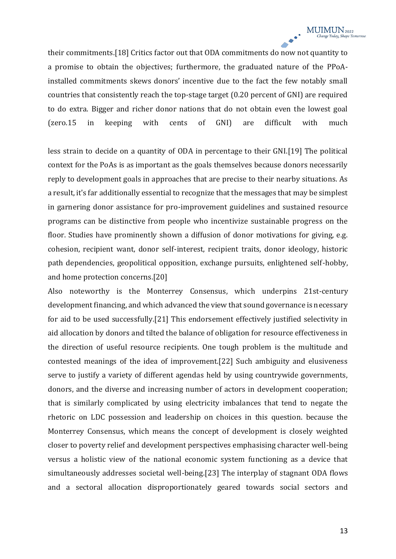their commitments.[18] Critics factor out that ODA commitments do now not quantity to a promise to obtain the objectives; furthermore, the graduated nature of the PPoAinstalled commitments skews donors' incentive due to the fact the few notably small countries that consistently reach the top-stage target (0.20 percent of GNI) are required to do extra. Bigger and richer donor nations that do not obtain even the lowest goal (zero.15 in keeping with cents of GNI) are difficult with much

less strain to decide on a quantity of ODA in percentage to their GNI.[19] The political context for the PoAs is as important as the goals themselves because donors necessarily reply to development goals in approaches that are precise to their nearby situations. As a result, it's far additionally essential to recognize that the messages that may be simplest in garnering donor assistance for pro-improvement guidelines and sustained resource programs can be distinctive from people who incentivize sustainable progress on the floor. Studies have prominently shown a diffusion of donor motivations for giving, e.g. cohesion, recipient want, donor self-interest, recipient traits, donor ideology, historic path dependencies, geopolitical opposition, exchange pursuits, enlightened self-hobby, and home protection concerns.[20]

Also noteworthy is the Monterrey Consensus, which underpins 21st-century development financing, and which advanced the view that sound governance is necessary for aid to be used successfully.[21] This endorsement effectively justified selectivity in aid allocation by donors and tilted the balance of obligation for resource effectiveness in the direction of useful resource recipients. One tough problem is the multitude and contested meanings of the idea of improvement.[22] Such ambiguity and elusiveness serve to justify a variety of different agendas held by using countrywide governments, donors, and the diverse and increasing number of actors in development cooperation; that is similarly complicated by using electricity imbalances that tend to negate the rhetoric on LDC possession and leadership on choices in this question. because the Monterrey Consensus, which means the concept of development is closely weighted closer to poverty relief and development perspectives emphasising character well-being versus a holistic view of the national economic system functioning as a device that simultaneously addresses societal well-being.[23] The interplay of stagnant ODA flows and a sectoral allocation disproportionately geared towards social sectors and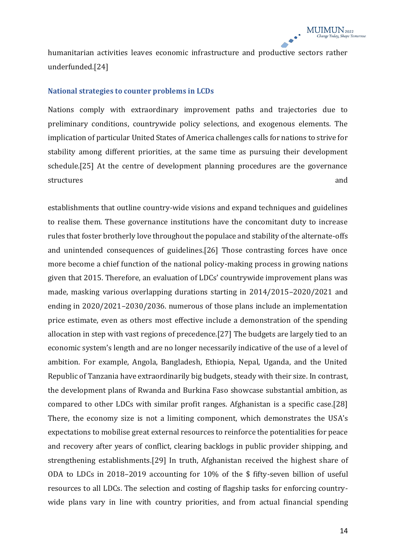humanitarian activities leaves economic infrastructure and productive sectors rather underfunded.[24]

#### **National strategies to counter problems in LCDs**

Nations comply with extraordinary improvement paths and trajectories due to preliminary conditions, countrywide policy selections, and exogenous elements. The implication of particular United States of America challenges calls for nations to strive for stability among different priorities, at the same time as pursuing their development schedule.[25] At the centre of development planning procedures are the governance structures and and structures and structures and and structures and and structures and  $\alpha$ 

establishments that outline country-wide visions and expand techniques and guidelines to realise them. These governance institutions have the concomitant duty to increase rules that foster brotherly love throughout the populace and stability of the alternate-offs and unintended consequences of guidelines.[26] Those contrasting forces have once more become a chief function of the national policy-making process in growing nations given that 2015. Therefore, an evaluation of LDCs' countrywide improvement plans was made, masking various overlapping durations starting in 2014/2015-2020/2021 and ending in 2020/2021-2030/2036. numerous of those plans include an implementation price estimate, even as others most effective include a demonstration of the spending allocation in step with vast regions of precedence.[27] The budgets are largely tied to an economic system's length and are no longer necessarily indicative of the use of a level of ambition. For example, Angola, Bangladesh, Ethiopia, Nepal, Uganda, and the United Republic of Tanzania have extraordinarily big budgets, steady with their size. In contrast, the development plans of Rwanda and Burkina Faso showcase substantial ambition, as compared to other LDCs with similar profit ranges. Afghanistan is a specific case.[28] There, the economy size is not a limiting component, which demonstrates the USA's expectations to mobilise great external resources to reinforce the potentialities for peace and recovery after years of conflict, clearing backlogs in public provider shipping, and strengthening establishments.[29] In truth, Afghanistan received the highest share of ODA to LDCs in 2018–2019 accounting for 10% of the  $$$  fifty-seven billion of useful resources to all LDCs. The selection and costing of flagship tasks for enforcing countrywide plans vary in line with country priorities, and from actual financial spending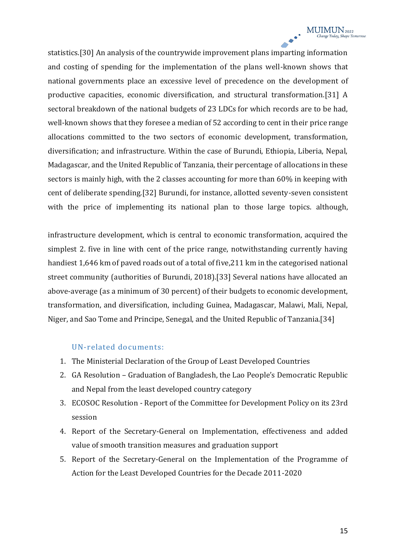statistics.[30] An analysis of the countrywide improvement plans imparting information and costing of spending for the implementation of the plans well-known shows that national governments place an excessive level of precedence on the development of productive capacities, economic diversification, and structural transformation.[31] A sectoral breakdown of the national budgets of 23 LDCs for which records are to be had, well-known shows that they foresee a median of 52 according to cent in their price range allocations committed to the two sectors of economic development, transformation, diversification; and infrastructure. Within the case of Burundi, Ethiopia, Liberia, Nepal, Madagascar, and the United Republic of Tanzania, their percentage of allocations in these sectors is mainly high, with the 2 classes accounting for more than 60% in keeping with cent of deliberate spending.[32] Burundi, for instance, allotted seventy-seven consistent with the price of implementing its national plan to those large topics. although,

infrastructure development, which is central to economic transformation, acquired the simplest 2. five in line with cent of the price range, notwithstanding currently having handiest 1,646 km of paved roads out of a total of five,211 km in the categorised national street community (authorities of Burundi, 2018).[33] Several nations have allocated an above-average (as a minimum of 30 percent) of their budgets to economic development, transformation, and diversification, including Guinea, Madagascar, Malawi, Mali, Nepal, Niger, and Sao Tome and Principe, Senegal, and the United Republic of Tanzania.[34]

#### UN-related documents:

- 1. The Ministerial Declaration of the Group of Least Developed Countries
- 2. GA Resolution Graduation of Bangladesh, the Lao People's Democratic Republic and Nepal from the least developed country category
- 3. ECOSOC Resolution Report of the Committee for Development Policy on its 23rd session
- 4. Report of the Secretary-General on Implementation, effectiveness and added value of smooth transition measures and graduation support
- 5. Report of the Secretary-General on the Implementation of the Programme of Action for the Least Developed Countries for the Decade 2011-2020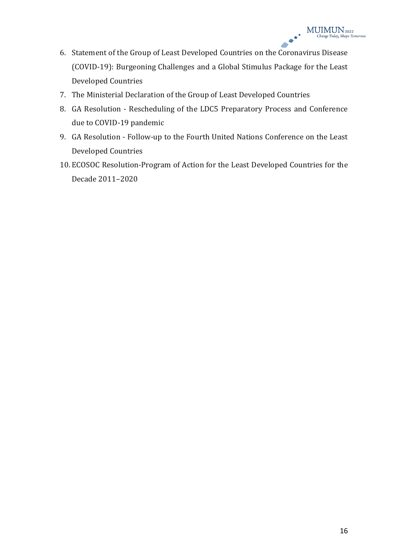- 6. Statement of the Group of Least Developed Countries on the Coronavirus Disease (COVID-19): Burgeoning Challenges and a Global Stimulus Package for the Least Developed Countries
- 7. The Ministerial Declaration of the Group of Least Developed Countries
- 8. GA Resolution Rescheduling of the LDC5 Preparatory Process and Conference due to COVID-19 pandemic
- 9. GA Resolution Follow-up to the Fourth United Nations Conference on the Least Developed Countries
- 10. ECOSOC Resolution-Program of Action for the Least Developed Countries for the Decade 2011-2020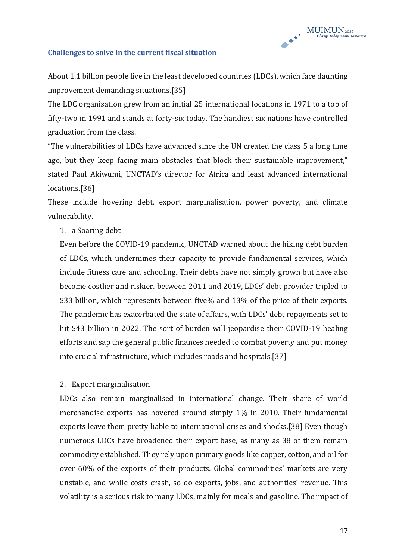

#### **Challenges to solve in the current fiscal situation**

About 1.1 billion people live in the least developed countries (LDCs), which face daunting improvement demanding situations.[35]

The LDC organisation grew from an initial 25 international locations in 1971 to a top of fifty-two in 1991 and stands at forty-six today. The handiest six nations have controlled graduation from the class.

"The vulnerabilities of LDCs have advanced since the UN created the class 5 a long time ago, but they keep facing main obstacles that block their sustainable improvement," stated Paul Akiwumi, UNCTAD's director for Africa and least advanced international locations.[36]

These include hovering debt, export marginalisation, power poverty, and climate vulnerability.

#### 1. a Soaring debt

Even before the COVID-19 pandemic, UNCTAD warned about the hiking debt burden of LDCs, which undermines their capacity to provide fundamental services, which include fitness care and schooling. Their debts have not simply grown but have also become costlier and riskier. between 2011 and 2019, LDCs' debt provider tripled to \$33 billion, which represents between five% and 13% of the price of their exports. The pandemic has exacerbated the state of affairs, with LDCs' debt repayments set to hit \$43 billion in 2022. The sort of burden will jeopardise their COVID-19 healing efforts and sap the general public finances needed to combat poverty and put money into crucial infrastructure, which includes roads and hospitals.[37]

#### 2. Export marginalisation

LDCs also remain marginalised in international change. Their share of world merchandise exports has hovered around simply 1% in 2010. Their fundamental exports leave them pretty liable to international crises and shocks.[38] Even though numerous LDCs have broadened their export base, as many as 38 of them remain commodity established. They rely upon primary goods like copper, cotton, and oil for over 60% of the exports of their products. Global commodities' markets are very unstable, and while costs crash, so do exports, jobs, and authorities' revenue. This volatility is a serious risk to many LDCs, mainly for meals and gasoline. The impact of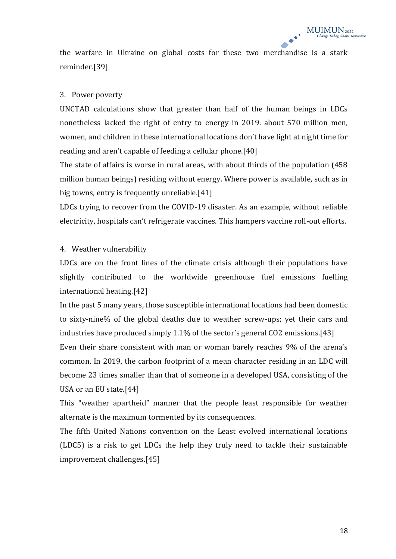the warfare in Ukraine on global costs for these two merchandise is a stark reminder.[39]

#### 3. Power poverty

UNCTAD calculations show that greater than half of the human beings in LDCs nonetheless lacked the right of entry to energy in 2019. about 570 million men, women, and children in these international locations don't have light at night time for reading and aren't capable of feeding a cellular phone.[40]

The state of affairs is worse in rural areas, with about thirds of the population (458 million human beings) residing without energy. Where power is available, such as in big towns, entry is frequently unreliable.[41]

LDCs trying to recover from the COVID-19 disaster. As an example, without reliable electricity, hospitals can't refrigerate vaccines. This hampers vaccine roll-out efforts.

#### 4. Weather vulnerability

LDCs are on the front lines of the climate crisis although their populations have slightly contributed to the worldwide greenhouse fuel emissions fuelling international heating.[42]

In the past 5 many years, those susceptible international locations had been domestic to sixty-nine% of the global deaths due to weather screw-ups; yet their cars and industries have produced simply  $1.1\%$  of the sector's general CO2 emissions. [43]

Even their share consistent with man or woman barely reaches 9% of the arena's common. In 2019, the carbon footprint of a mean character residing in an LDC will become 23 times smaller than that of someone in a developed USA, consisting of the USA or an EU state.[44]

This "weather apartheid" manner that the people least responsible for weather alternate is the maximum tormented by its consequences.

The fifth United Nations convention on the Least evolved international locations (LDC5) is a risk to get LDCs the help they truly need to tackle their sustainable improvement challenges.[45]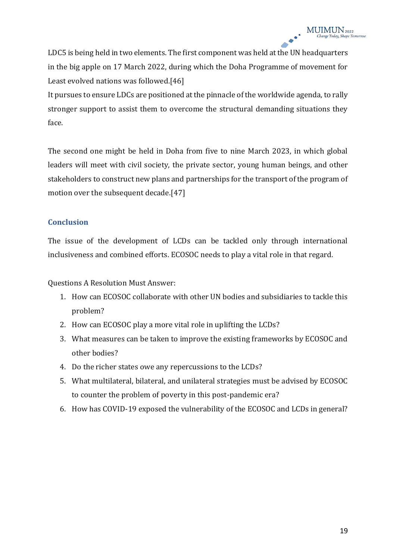LDC5 is being held in two elements. The first component was held at the UN headquarters in the big apple on 17 March 2022, during which the Doha Programme of movement for Least evolved nations was followed.[46]

It pursues to ensure LDCs are positioned at the pinnacle of the worldwide agenda, to rally stronger support to assist them to overcome the structural demanding situations they face.

The second one might be held in Doha from five to nine March 2023, in which global leaders will meet with civil society, the private sector, young human beings, and other stakeholders to construct new plans and partnerships for the transport of the program of motion over the subsequent decade.[47]

#### **Conclusion**

The issue of the development of LCDs can be tackled only through international inclusiveness and combined efforts. ECOSOC needs to play a vital role in that regard.

Questions A Resolution Must Answer:

- 1. How can ECOSOC collaborate with other UN bodies and subsidiaries to tackle this problem?
- 2. How can ECOSOC play a more vital role in uplifting the LCDs?
- 3. What measures can be taken to improve the existing frameworks by ECOSOC and other bodies?
- 4. Do the richer states owe any repercussions to the LCDs?
- 5. What multilateral, bilateral, and unilateral strategies must be advised by ECOSOC to counter the problem of poverty in this post-pandemic era?
- 6. How has COVID-19 exposed the vulnerability of the ECOSOC and LCDs in general?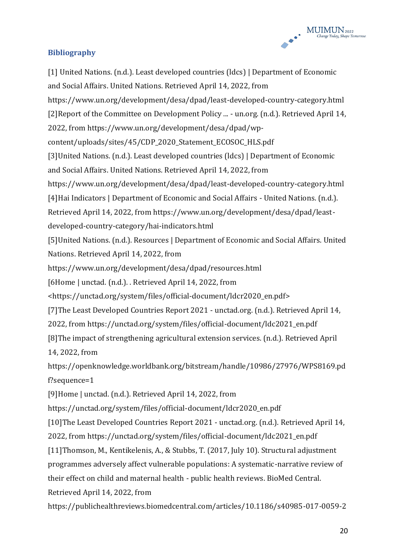

#### **Bibliography**

[1] United Nations. (n.d.). Least developed countries (ldcs) | Department of Economic and Social Affairs. United Nations. Retrieved April 14, 2022, from https://www.un.org/development/desa/dpad/least-developed-country-category.html [2]Report of the Committee on Development Policy ... - un.org. (n.d.). Retrieved April 14, 2022, from https://www.un.org/development/desa/dpad/wpcontent/uploads/sites/45/CDP\_2020\_Statement\_ECOSOC\_HLS.pdf [3]United Nations. (n.d.). Least developed countries (ldcs) | Department of Economic and Social Affairs. United Nations. Retrieved April 14, 2022, from https://www.un.org/development/desa/dpad/least-developed-country-category.html [4]Hai Indicators | Department of Economic and Social Affairs - United Nations. (n.d.). Retrieved April 14, 2022, from https://www.un.org/development/desa/dpad/leastdeveloped-country-category/hai-indicators.html [5]United Nations. (n.d.). Resources | Department of Economic and Social Affairs. United Nations. Retrieved April 14, 2022, from https://www.un.org/development/desa/dpad/resources.html [6Home | unctad. (n.d.). . Retrieved April 14, 2022, from <https://unctad.org/system/files/official-document/ldcr2020\_en.pdf> [7]The Least Developed Countries Report 2021 - unctad.org. (n.d.). Retrieved April 14, 2022, from https://unctad.org/system/files/official-document/ldc2021\_en.pdf [8]The impact of strengthening agricultural extension services. (n.d.). Retrieved April 14, 2022, from https://openknowledge.worldbank.org/bitstream/handle/10986/27976/WPS8169.pd f?sequence=1 [9]Home | unctad. (n.d.). Retrieved April 14, 2022, from https://unctad.org/system/files/official-document/ldcr2020\_en.pdf [10]The Least Developed Countries Report 2021 - unctad.org. (n.d.). Retrieved April 14, 2022, from https://unctad.org/system/files/official-document/ldc2021\_en.pdf [11]Thomson, M., Kentikelenis, A., & Stubbs, T. (2017, July 10). Structural adjustment programmes adversely affect vulnerable populations: A systematic-narrative review of their effect on child and maternal health - public health reviews. BioMed Central. Retrieved April 14, 2022, from https://publichealthreviews.biomedcentral.com/articles/10.1186/s40985-017-0059-2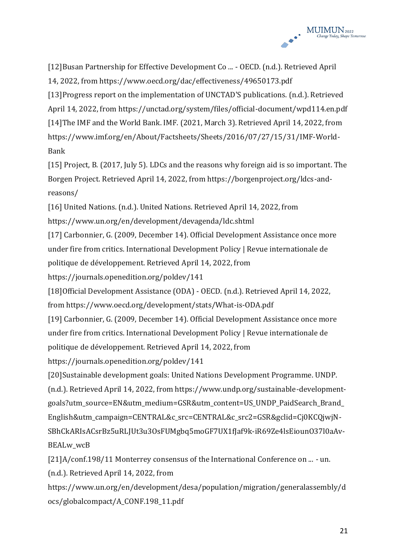

[12]Busan Partnership for Effective Development Co ... - OECD. (n.d.). Retrieved April 14, 2022, from https://www.oecd.org/dac/effectiveness/49650173.pdf [13]Progress report on the implementation of UNCTAD'S publications. (n.d.). Retrieved April 14, 2022, from https://unctad.org/system/files/official-document/wpd114.en.pdf [14]The IMF and the World Bank. IMF. (2021, March 3). Retrieved April 14, 2022, from https://www.imf.org/en/About/Factsheets/Sheets/2016/07/27/15/31/IMF-World-Bank

[15] Project, B. (2017, July 5). LDCs and the reasons why foreign aid is so important. The Borgen Project. Retrieved April 14, 2022, from https://borgenproject.org/ldcs-andreasons/

[16] United Nations. (n.d.). United Nations. Retrieved April 14, 2022, from https://www.un.org/en/development/devagenda/ldc.shtml

[17] Carbonnier, G. (2009, December 14). Official Development Assistance once more under fire from critics. International Development Policy | Revue internationale de politique de développement. Retrieved April 14, 2022, from

https://journals.openedition.org/poldev/141

[18]Official Development Assistance (ODA) - OECD. (n.d.). Retrieved April 14, 2022, from https://www.oecd.org/development/stats/What-is-ODA.pdf

[19] Carbonnier, G. (2009, December 14). Official Development Assistance once more under fire from critics. International Development Policy | Revue internationale de politique de développement. Retrieved April 14, 2022, from

https://journals.openedition.org/poldev/141

[20]Sustainable development goals: United Nations Development Programme. UNDP. (n.d.). Retrieved April 14, 2022, from https://www.undp.org/sustainable-developmentgoals?utm\_source=EN&utm\_medium=GSR&utm\_content=US\_UNDP\_PaidSearch\_Brand\_ English&utm\_campaign=CENTRAL&c\_src=CENTRAL&c\_src2=GSR&gclid=Cj0KCQjwjN-SBhCkARIsACsrBz5uRLJUt3u3OsFUMgbq5moGF7UX1fJaf9k-iR69Ze4lsEiounO37l0aAv-BEALw\_wcB

[21]A/conf.198/11 Monterrey consensus of the International Conference on ... - un. (n.d.). Retrieved April 14, 2022, from

https://www.un.org/en/development/desa/population/migration/generalassembly/d ocs/globalcompact/A\_CONF.198\_11.pdf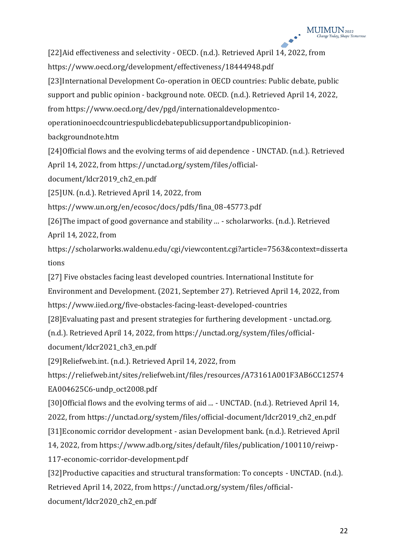[22]Aid effectiveness and selectivity - OECD. (n.d.). Retrieved April 14, 2022, from https://www.oecd.org/development/effectiveness/18444948.pdf [23]International Development Co-operation in OECD countries: Public debate, public support and public opinion - background note. OECD. (n.d.). Retrieved April 14, 2022, from https://www.oecd.org/dev/pgd/internationaldevelopmentcooperationinoecdcountriespublicdebatepublicsupportandpublicopinionbackgroundnote.htm [24]Official flows and the evolving terms of aid dependence - UNCTAD. (n.d.). Retrieved April 14, 2022, from https://unctad.org/system/files/officialdocument/ldcr2019\_ch2\_en.pdf [25]UN. (n.d.). Retrieved April 14, 2022, from https://www.un.org/en/ecosoc/docs/pdfs/fina\_08-45773.pdf [26]The impact of good governance and stability ... - scholarworks. (n.d.). Retrieved April 14, 2022, from https://scholarworks.waldenu.edu/cgi/viewcontent.cgi?article=7563&context=disserta tions [27] Five obstacles facing least developed countries. International Institute for Environment and Development. (2021, September 27). Retrieved April 14, 2022, from https://www.iied.org/five-obstacles-facing-least-developed-countries [28]Evaluating past and present strategies for furthering development - unctad.org. (n.d.). Retrieved April 14, 2022, from https://unctad.org/system/files/officialdocument/ldcr2021\_ch3\_en.pdf [29]Reliefweb.int. (n.d.). Retrieved April 14, 2022, from https://reliefweb.int/sites/reliefweb.int/files/resources/A73161A001F3AB6CC12574 EA004625C6-undp\_oct2008.pdf [30]Official flows and the evolving terms of aid ... - UNCTAD. (n.d.). Retrieved April 14, 2022, from https://unctad.org/system/files/official-document/ldcr2019\_ch2\_en.pdf [31]Economic corridor development - asian Development bank. (n.d.). Retrieved April 14, 2022, from https://www.adb.org/sites/default/files/publication/100110/reiwp-117-economic-corridor-development.pdf

[32]Productive capacities and structural transformation: To concepts - UNCTAD. (n.d.). Retrieved April 14, 2022, from https://unctad.org/system/files/officialdocument/ldcr2020\_ch2\_en.pdf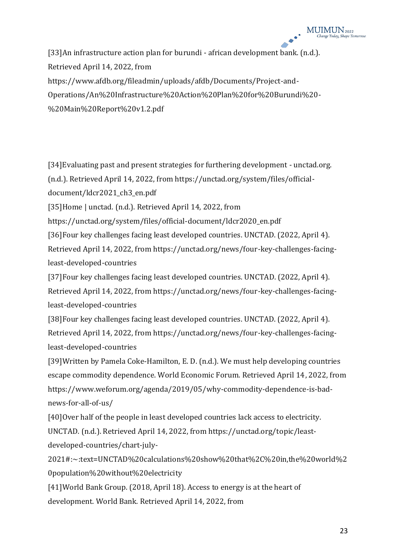[33]An infrastructure action plan for burundi - african development bank. (n.d.). Retrieved April 14, 2022, from https://www.afdb.org/fileadmin/uploads/afdb/Documents/Project-and-Operations/An%20Infrastructure%20Action%20Plan%20for%20Burundi%20-

%20Main%20Report%20v1.2.pdf

[34]Evaluating past and present strategies for furthering development - unctad.org. (n.d.). Retrieved April 14, 2022, from https://unctad.org/system/files/officialdocument/ldcr2021\_ch3\_en.pdf

[35]Home | unctad. (n.d.). Retrieved April 14, 2022, from

https://unctad.org/system/files/official-document/ldcr2020\_en.pdf

[36]Four key challenges facing least developed countries. UNCTAD. (2022, April 4).

Retrieved April 14, 2022, from https://unctad.org/news/four-key-challenges-facingleast-developed-countries

[37]Four key challenges facing least developed countries. UNCTAD. (2022, April 4). Retrieved April 14, 2022, from https://unctad.org/news/four-key-challenges-facingleast-developed-countries

[38]Four key challenges facing least developed countries. UNCTAD. (2022, April 4). Retrieved April 14, 2022, from https://unctad.org/news/four-key-challenges-facingleast-developed-countries

[39]Written by Pamela Coke-Hamilton, E. D. (n.d.). We must help developing countries escape commodity dependence. World Economic Forum. Retrieved April 14, 2022, from https://www.weforum.org/agenda/2019/05/why-commodity-dependence-is-badnews-for-all-of-us/

[40]Over half of the people in least developed countries lack access to electricity. UNCTAD. (n.d.). Retrieved April 14, 2022, from https://unctad.org/topic/least-

developed-countries/chart-july-

2021#:~:text=UNCTAD%20calculations%20show%20that%2C%20in,the%20world%2 0population%20without%20electricity

[41]World Bank Group. (2018, April 18). Access to energy is at the heart of development. World Bank. Retrieved April 14, 2022, from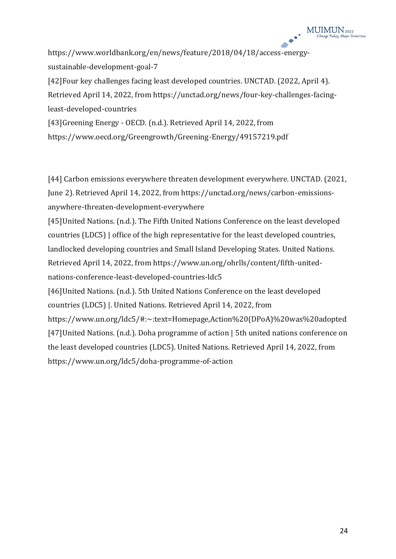https://www.worldbank.org/en/news/feature/2018/04/18/access-energysustainable-development-goal-7

[42]Four key challenges facing least developed countries. UNCTAD. (2022, April 4). Retrieved April 14, 2022, from https://unctad.org/news/four-key-challenges-facingleast-developed-countries

[43]Greening Energy - OECD. (n.d.). Retrieved April 14, 2022, from https://www.oecd.org/Greengrowth/Greening-Energy/49157219.pdf

[44] Carbon emissions everywhere threaten development everywhere. UNCTAD. (2021, June 2). Retrieved April 14, 2022, from https://unctad.org/news/carbon-emissionsanywhere-threaten-development-everywhere

[45]United Nations. (n.d.). The Fifth United Nations Conference on the least developed countries (LDC5) | office of the high representative for the least developed countries, landlocked developing countries and Small Island Developing States. United Nations. Retrieved April 14, 2022, from https://www.un.org/ohrlls/content/fifth-unitednations-conference-least-developed-countries-ldc5 [46]United Nations. (n.d.). 5th United Nations Conference on the least developed countries (LDC5) |. United Nations. Retrieved April 14, 2022, from https://www.un.org/ldc5/#:~:text=Homepage,Action%20(DPoA)%20was%20adopted

[47]United Nations. (n.d.). Doha programme of action | 5th united nations conference on the least developed countries (LDC5). United Nations. Retrieved April 14, 2022, from https://www.un.org/ldc5/doha-programme-of-action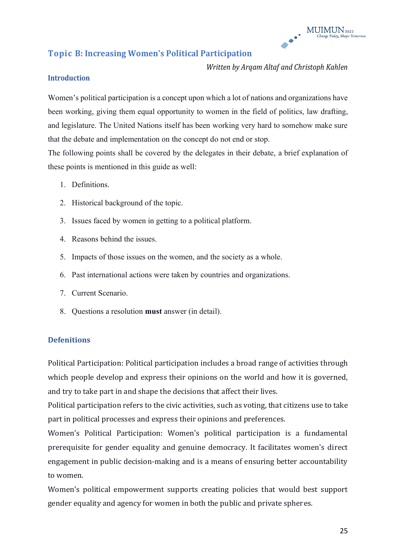

### **Topic B: Increasing Women's Political Participation**

*Written by Arqam Altaf and Christoph Kahlen*

#### **Introduction**

Women's political participation is a concept upon which a lot of nations and organizations have been working, giving them equal opportunity to women in the field of politics, law drafting, and legislature. The United Nations itself has been working very hard to somehow make sure that the debate and implementation on the concept do not end or stop.

The following points shall be covered by the delegates in their debate, a brief explanation of these points is mentioned in this guide as well:

- 1. Definitions.
- 2. Historical background of the topic.
- 3. Issues faced by women in getting to a political platform.
- 4. Reasons behind the issues.
- 5. Impacts of those issues on the women, and the society as a whole.
- 6. Past international actions were taken by countries and organizations.
- 7. Current Scenario.
- 8. Questions a resolution **must** answer (in detail).

#### **Defenitions**

Political Participation: Political participation includes a broad range of activities through which people develop and express their opinions on the world and how it is governed, and try to take part in and shape the decisions that affect their lives.

Political participation refers to the civic activities, such as voting, that citizens use to take part in political processes and express their opinions and preferences.

Women's Political Participation: Women's political participation is a fundamental prerequisite for gender equality and genuine democracy. It facilitates women's direct engagement in public decision-making and is a means of ensuring better accountability to women.

Women's political empowerment supports creating policies that would best support gender equality and agency for women in both the public and private spheres.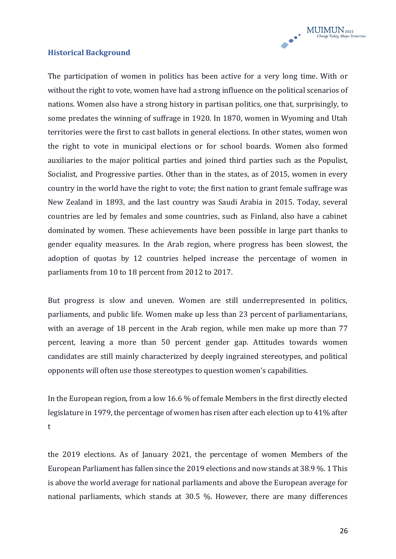

#### **Historical Background**

The participation of women in politics has been active for a very long time. With or without the right to vote, women have had a strong influence on the political scenarios of nations. Women also have a strong history in partisan politics, one that, surprisingly, to some predates the winning of suffrage in 1920. In 1870, women in Wyoming and Utah territories were the first to cast ballots in general elections. In other states, women won the right to vote in municipal elections or for school boards. Women also formed auxiliaries to the major political parties and joined third parties such as the Populist, Socialist, and Progressive parties. Other than in the states, as of 2015, women in every country in the world have the right to vote; the first nation to grant female suffrage was New Zealand in 1893, and the last country was Saudi Arabia in 2015. Today, several countries are led by females and some countries, such as Finland, also have a cabinet dominated by women. These achievements have been possible in large part thanks to gender equality measures. In the Arab region, where progress has been slowest, the adoption of quotas by 12 countries helped increase the percentage of women in parliaments from 10 to 18 percent from 2012 to 2017.

But progress is slow and uneven. Women are still underrepresented in politics, parliaments, and public life. Women make up less than 23 percent of parliamentarians, with an average of 18 percent in the Arab region, while men make up more than 77 percent, leaving a more than 50 percent gender gap. Attitudes towards women candidates are still mainly characterized by deeply ingrained stereotypes, and political opponents will often use those stereotypes to question women's capabilities.

In the European region, from a low 16.6 % of female Members in the first directly elected legislature in 1979, the percentage of women has risen after each election up to 41% after t

the 2019 elections. As of January 2021, the percentage of women Members of the European Parliament has fallen since the 2019 elections and now stands at 38.9 %. 1 This is above the world average for national parliaments and above the European average for national parliaments, which stands at 30.5 %. However, there are many differences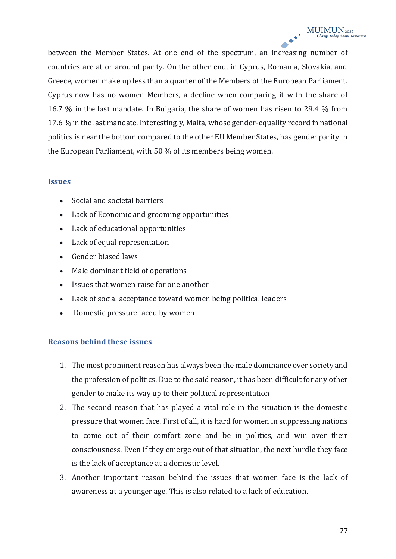between the Member States. At one end of the spectrum, an increasing number of countries are at or around parity. On the other end, in Cyprus, Romania, Slovakia, and Greece, women make up less than a quarter of the Members of the European Parliament. Cyprus now has no women Members, a decline when comparing it with the share of 16.7 % in the last mandate. In Bulgaria, the share of women has risen to 29.4 % from 17.6 % in the last mandate. Interestingly, Malta, whose gender-equality record in national politics is near the bottom compared to the other EU Member States, has gender parity in the European Parliament, with 50 % of its members being women.

#### **Issues**

- $\bullet$  Social and societal barriers
- Lack of Economic and grooming opportunities
- Lack of educational opportunities
- Lack of equal representation
- Gender biased laws
- Male dominant field of operations
- Issues that women raise for one another
- Lack of social acceptance toward women being political leaders
- Domestic pressure faced by women

#### **Reasons behind these issues**

- 1. The most prominent reason has always been the male dominance over society and the profession of politics. Due to the said reason, it has been difficult for any other gender to make its way up to their political representation
- 2. The second reason that has played a vital role in the situation is the domestic pressure that women face. First of all, it is hard for women in suppressing nations to come out of their comfort zone and be in politics, and win over their consciousness. Even if they emerge out of that situation, the next hurdle they face is the lack of acceptance at a domestic level.
- 3. Another important reason behind the issues that women face is the lack of awareness at a younger age. This is also related to a lack of education.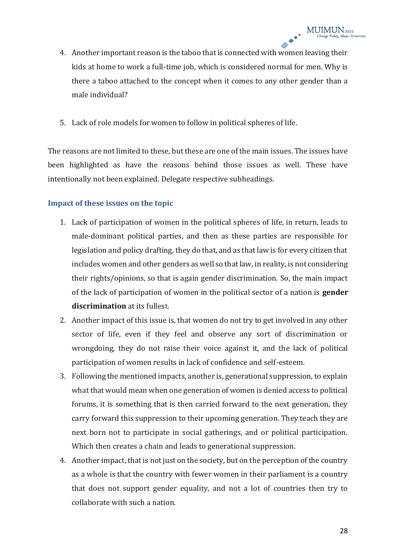- 4. Another important reason is the taboo that is connected with women leaving their kids at home to work a full-time job, which is considered normal for men. Why is there a taboo attached to the concept when it comes to any other gender than a male individual?
- 5. Lack of role models for women to follow in political spheres of life.

The reasons are not limited to these, but these are one of the main issues. The issues have been highlighted as have the reasons behind those issues as well. These have intentionally not been explained. Delegate respective subheadings.

#### **Impact of these issues on the topic**

- 1. Lack of participation of women in the political spheres of life, in return, leads to male-dominant political parties, and then as these parties are responsible for legislation and policy drafting, they do that, and as that law is for every citizen that includes women and other genders as well so that law, in reality, is not considering their rights/opinions, so that is again gender discrimination. So, the main impact of the lack of participation of women in the political sector of a nation is **gender discrimination** at its fullest.
- 2. Another impact of this issue is, that women do not try to get involved in any other sector of life, even if they feel and observe any sort of discrimination or wrongdoing, they do not raise their voice against it, and the lack of political participation of women results in lack of confidence and self-esteem.
- 3. Following the mentioned impacts, another is, generational suppression, to explain what that would mean when one generation of women is denied access to political forums, it is something that is then carried forward to the next generation, they carry forward this suppression to their upcoming generation. They teach they are next born not to participate in social gatherings, and or political participation. Which then creates a chain and leads to generational suppression.
- 4. Another impact, that is not just on the society, but on the perception of the country as a whole is that the country with fewer women in their parliament is a country that does not support gender equality, and not a lot of countries then try to collaborate with such a nation.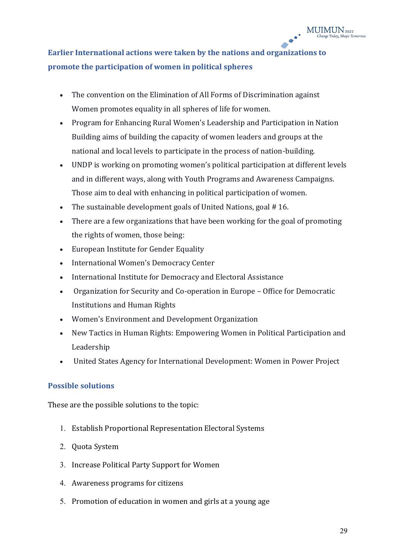## **Earlier International actions were taken by the nations and organizations to promote the participation of women in political spheres**

- The convention on the Elimination of All Forms of Discrimination against Women promotes equality in all spheres of life for women.
- x Program for Enhancing Rural Women's Leadership and Participation in Nation Building aims of building the capacity of women leaders and groups at the national and local levels to participate in the process of nation-building.
- UNDP is working on promoting women's political participation at different levels and in different ways, along with Youth Programs and Awareness Campaigns. Those aim to deal with enhancing in political participation of women.
- The sustainable development goals of United Nations, goal # 16.
- There are a few organizations that have been working for the goal of promoting the rights of women, those being:
- European Institute for Gender Equality
- International Women's Democracy Center
- International Institute for Democracy and Electoral Assistance
- Organization for Security and Co-operation in Europe Office for Democratic Institutions and Human Rights
- Women's Environment and Development Organization
- New Tactics in Human Rights: Empowering Women in Political Participation and Leadership
- x United States Agency for International Development: Women in Power Project

#### **Possible solutions**

These are the possible solutions to the topic:

- 1. Establish Proportional Representation Electoral Systems
- 2. Quota System
- 3. Increase Political Party Support for Women
- 4. Awareness programs for citizens
- 5. Promotion of education in women and girls at a young age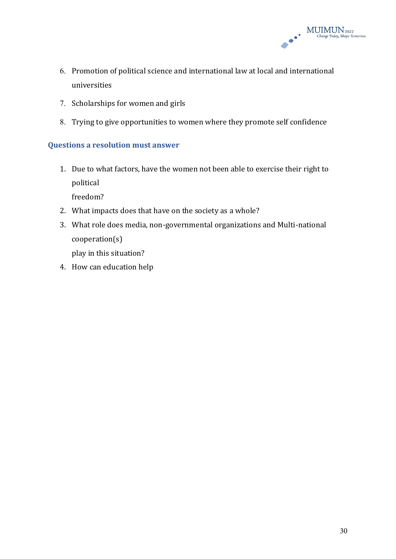

- 6. Promotion of political science and international law at local and international universities
- 7. Scholarships for women and girls
- 8. Trying to give opportunities to women where they promote self confidence

#### **Questions a resolution must answer**

1. Due to what factors, have the women not been able to exercise their right to political

freedom?

- 2. What impacts does that have on the society as a whole?
- 3. What role does media, non-governmental organizations and Multi-national cooperation(s)

play in this situation?

4. How can education help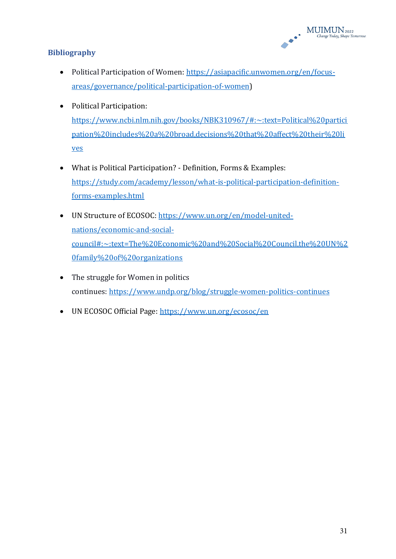

#### **Bibliography**

- Political Participation of Women: [https://asiapacific.unwomen.org/en/focus](https://asiapacific.unwomen.org/en/focus-areas/governance/political-participation-of-women)[areas/governance/political-participation-of-women\)](https://asiapacific.unwomen.org/en/focus-areas/governance/political-participation-of-women)
- Political Participation: [https://www.ncbi.nlm.nih.gov/books/NBK310967/#:~:text=Political%20partici](https://www.ncbi.nlm.nih.gov/books/NBK310967/#:~:text=Political%20participation%20includes%20a%20broad,decisions%20that%20affect%20their%20lives) [pation%20includes%20a%20broad,decisions%20that%20affect%20their%20li](https://www.ncbi.nlm.nih.gov/books/NBK310967/#:~:text=Political%20participation%20includes%20a%20broad,decisions%20that%20affect%20their%20lives) [ves](https://www.ncbi.nlm.nih.gov/books/NBK310967/#:~:text=Political%20participation%20includes%20a%20broad,decisions%20that%20affect%20their%20lives)
- What is Political Participation? Definition, Forms & Examples: [https://study.com/academy/lesson/what-is-political-participation-definition](https://study.com/academy/lesson/what-is-political-participation-definition-forms-examples.html)[forms-examples.html](https://study.com/academy/lesson/what-is-political-participation-definition-forms-examples.html)
- UN Structure of ECOSOC: [https://www.un.org/en/model-united](https://www.un.org/en/model-united-nations/economic-and-social-council#:~:text=The%20Economic%20and%20Social%20Council,the%20UN%20family%20of%20organizations)[nations/economic-and-social](https://www.un.org/en/model-united-nations/economic-and-social-council#:~:text=The%20Economic%20and%20Social%20Council,the%20UN%20family%20of%20organizations)[council#:~:text=The%20Economic%20and%20Social%20Council,the%20UN%2](https://www.un.org/en/model-united-nations/economic-and-social-council#:~:text=The%20Economic%20and%20Social%20Council,the%20UN%20family%20of%20organizations) [0family%20of%20organizations](https://www.un.org/en/model-united-nations/economic-and-social-council#:~:text=The%20Economic%20and%20Social%20Council,the%20UN%20family%20of%20organizations)
- The struggle for Women in politics continues: <https://www.undp.org/blog/struggle-women-politics-continues>
- UN ECOSOC Official Page:<https://www.un.org/ecosoc/en>